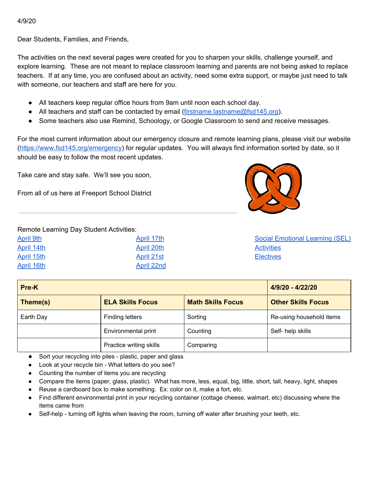4/9/20

Dear Students, Families, and Friends,

The activities on the next several pages were created for you to sharpen your skills, challenge yourself, and explore learning. These are not meant to replace classroom learning and parents are not being asked to replace teachers. If at any time, you are confused about an activity, need some extra support, or maybe just need to talk with someone, our teachers and staff are here for you.

- All teachers keep regular office hours from 9am until noon each school day.
- All teachers and staff can be contacted by email ([firstname.lastname@fsd145.org](mailto:firstname.lastname@fsd145.org)).
- Some teachers also use Remind, Schoology, or Google Classroom to send and receive messages.

For the most current information about our emergency closure and remote learning plans, please visit our website [\(https://www.fsd145.org/emergency\)](https://www.fsd145.org/emergency) for regular updates. You will always find information sorted by date, so it should be easy to follow the most recent updates.

Take care and stay safe. We'll see you soon,

From all of us here at Freeport School District



#### Remote Learning Day Student Activities:

| April 9th  | April 17th        |
|------------|-------------------|
| April 14th | April 20th        |
| April 15th | <b>April 21st</b> |
| April 16th | <b>April 22nd</b> |

Social [Emotional](#page-9-0) Learning (SEL) **[Activities](#page-9-0) [Electives](#page-10-0)** 

| Pre-K     |                         |                          | 4/9/20 - 4/22/20          |
|-----------|-------------------------|--------------------------|---------------------------|
| Theme(s)  | <b>ELA Skills Focus</b> | <b>Math Skills Focus</b> | <b>Other Skills Focus</b> |
| Earth Day | <b>Finding letters</b>  | Sorting                  | Re-using household items  |
|           | Environmental print     | Counting                 | Self- help skills         |
|           | Practice writing skills | Comparing                |                           |

- Sort your recycling into piles plastic, paper and glass
- Look at your recycle bin What letters do you see?
- Counting the number of items you are recycling
- Compare the items (paper, glass, plastic). What has more, less, equal, big, little, short, tall, heavy, light, shapes
- Reuse a cardboard box to make something. Ex: color on it, make a fort, etc.
- Find different environmental print in your recycling container (cottage cheese, walmart, etc) discussing where the items came from
- Self-help turning off lights when leaving the room, turning off water after brushing your teeth, etc.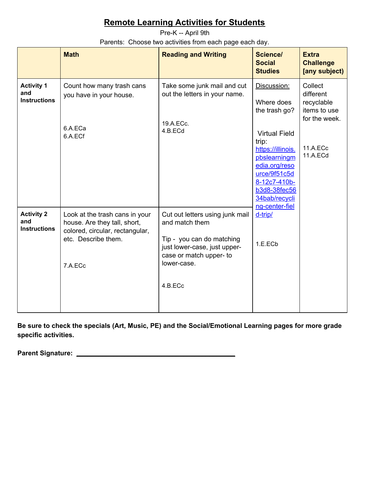<span id="page-1-0"></span>Pre-K -- April 9th Parents: Choose two activities from each page each day.

|                                                 | <b>Math</b>                                                                                                                         | <b>Reading and Writing</b>                                                                                                                                          | Science/<br><b>Social</b><br><b>Studies</b>                                                                                                                       | <b>Extra</b><br><b>Challenge</b><br>[any subject)                                           |
|-------------------------------------------------|-------------------------------------------------------------------------------------------------------------------------------------|---------------------------------------------------------------------------------------------------------------------------------------------------------------------|-------------------------------------------------------------------------------------------------------------------------------------------------------------------|---------------------------------------------------------------------------------------------|
| <b>Activity 1</b><br>and<br><b>Instructions</b> | Count how many trash cans<br>you have in your house.<br>6.A.ECa<br>6.A.ECf                                                          | Take some junk mail and cut<br>out the letters in your name.<br>19.A.ECc.<br>4.B.ECd                                                                                | Discussion:<br>Where does<br>the trash go?<br><b>Virtual Field</b><br>trip:<br>https://illinois.<br>pbslearningm<br>edia.org/reso<br>urce/9f51c5d<br>8-12c7-410b- | Collect<br>different<br>recyclable<br>items to use<br>for the week.<br>11.A.ECc<br>11.A.ECd |
| <b>Activity 2</b><br>and<br><b>Instructions</b> | Look at the trash cans in your<br>house. Are they tall, short,<br>colored, circular, rectangular,<br>etc. Describe them.<br>7.A.ECc | Cut out letters using junk mail<br>and match them<br>Tip - you can do matching<br>just lower-case, just upper-<br>case or match upper- to<br>lower-case.<br>4.B.ECc | <b>b3d8-38fec56</b><br>34bab/recycli<br>ng-center-fiel<br>d-trip/<br>1.E.ECb                                                                                      |                                                                                             |

**Be sure to check the specials (Art, Music, PE) and the Social/Emotional Learning pages for more grade specific activities.**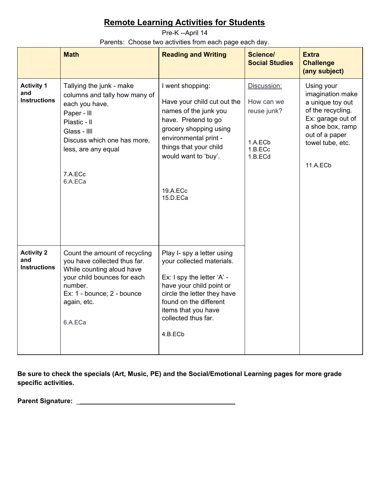<span id="page-2-0"></span>Pre-K --April 14 Parents: Choose two activities from each page each day.

|                                                 | <b>Math</b>                                                                                                                                                                                            | <b>Reading and Writing</b>                                                                                                                                                                                                          | Science/<br><b>Social Studies</b>                                         | <b>Extra</b><br><b>Challenge</b><br>(any subject)                                                                                                                  |
|-------------------------------------------------|--------------------------------------------------------------------------------------------------------------------------------------------------------------------------------------------------------|-------------------------------------------------------------------------------------------------------------------------------------------------------------------------------------------------------------------------------------|---------------------------------------------------------------------------|--------------------------------------------------------------------------------------------------------------------------------------------------------------------|
| <b>Activity 1</b><br>and<br><b>Instructions</b> | Tallying the junk - make<br>columns and tally how many of<br>each you have.<br>Paper - III<br>Plastic - II<br>Glass - IIII<br>Discuss which one has more,<br>less, are any equal<br>7.A.ECc<br>6.A.ECa | I went shopping:<br>Have your child cut out the<br>names of the junk you<br>have. Pretend to go<br>grocery shopping using<br>environmental print -<br>things that your child<br>would want to 'buy'.<br>19.A.ECc<br>15.D.ECa        | Discussion:<br>How can we<br>reuse junk?<br>1.A.ECb<br>1.B.ECc<br>1.B.ECd | Using your<br>imagination make<br>a unique toy out<br>of the recycling.<br>Ex: garage out of<br>a shoe box, ramp<br>out of a paper<br>towel tube, etc.<br>11.A.ECb |
| <b>Activity 2</b><br>and<br><b>Instructions</b> | Count the amount of recycling<br>you have collected thus far.<br>While counting aloud have<br>your child bounces for each<br>number.<br>Ex: 1 - bounce; 2 - bounce<br>again, etc.<br>6.A.ECa           | Play I- spy a letter using<br>your collected materials.<br>Ex: I spy the letter 'A' -<br>have your child point or<br>circle the letter they have<br>found on the different<br>items that you have<br>collected thus far.<br>4.B.ECb |                                                                           |                                                                                                                                                                    |

**Be sure to check the specials (Art, Music, PE) and the Social/Emotional Learning pages for more grade specific activities.**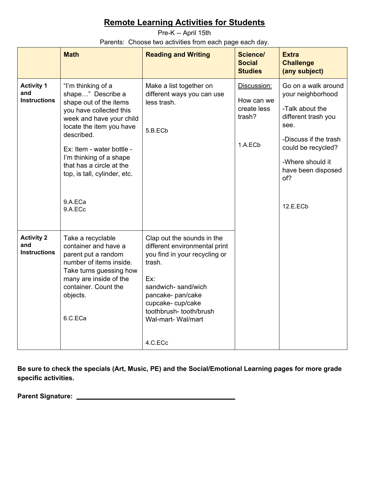<span id="page-3-0"></span>Pre-K -- April 15th Parents: Choose two activities from each page each day.

|                                                 | <b>Math</b>                                                                                                                                                                                                                                                                                                  | <b>Reading and Writing</b>                                                                                                                                                                                                              | <b>Science/</b><br><b>Social</b><br><b>Studies</b>            | <b>Extra</b><br><b>Challenge</b><br>(any subject)                                                                                                                                                      |
|-------------------------------------------------|--------------------------------------------------------------------------------------------------------------------------------------------------------------------------------------------------------------------------------------------------------------------------------------------------------------|-----------------------------------------------------------------------------------------------------------------------------------------------------------------------------------------------------------------------------------------|---------------------------------------------------------------|--------------------------------------------------------------------------------------------------------------------------------------------------------------------------------------------------------|
| <b>Activity 1</b><br>and<br><b>Instructions</b> | "I'm thinking of a<br>shape" Describe a<br>shape out of the items<br>you have collected this<br>week and have your child<br>locate the item you have<br>described.<br>Ex: Item - water bottle -<br>I'm thinking of a shape<br>that has a circle at the<br>top, is tall, cylinder, etc.<br>9.A.ECa<br>9.A.ECc | Make a list together on<br>different ways you can use<br>less trash.<br>5.B.ECb                                                                                                                                                         | Discussion:<br>How can we<br>create less<br>trash?<br>1.A.ECb | Go on a walk around<br>your neighborhood<br>-Talk about the<br>different trash you<br>see.<br>-Discuss if the trash<br>could be recycled?<br>-Where should it<br>have been disposed<br>of?<br>12.E.ECb |
| <b>Activity 2</b><br>and<br><b>Instructions</b> | Take a recyclable<br>container and have a<br>parent put a random<br>number of items inside.<br>Take turns guessing how<br>many are inside of the<br>container. Count the<br>objects.<br>6.C.ECa                                                                                                              | Clap out the sounds in the<br>different environmental print<br>you find in your recycling or<br>trash.<br>Ex:<br>sandwich-sand/wich<br>pancake- pan/cake<br>cupcake-cup/cake<br>toothbrush-tooth/brush<br>Wal-mart- Wal/mart<br>4.C.ECc |                                                               |                                                                                                                                                                                                        |

**Be sure to check the specials (Art, Music, PE) and the Social/Emotional Learning pages for more grade specific activities.**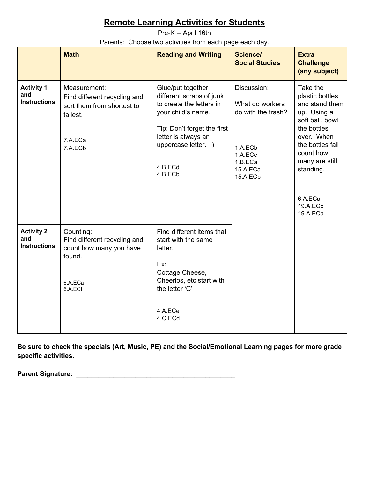<span id="page-4-0"></span>Pre-K -- April 16th Parents: Choose two activities from each page each day.

|                                                 | <b>Math</b>                                                                                                  | <b>Reading and Writing</b>                                                                                                                                                                          | Science/<br><b>Social Studies</b>                                                                             | <b>Extra</b><br><b>Challenge</b><br>(any subject)                                                                                                                                                               |
|-------------------------------------------------|--------------------------------------------------------------------------------------------------------------|-----------------------------------------------------------------------------------------------------------------------------------------------------------------------------------------------------|---------------------------------------------------------------------------------------------------------------|-----------------------------------------------------------------------------------------------------------------------------------------------------------------------------------------------------------------|
| <b>Activity 1</b><br>and<br><b>Instructions</b> | Measurement:<br>Find different recycling and<br>sort them from shortest to<br>tallest.<br>7.A.ECa<br>7.A.ECb | Glue/put together<br>different scraps of junk<br>to create the letters in<br>your child's name.<br>Tip: Don't forget the first<br>letter is always an<br>uppercase letter. :)<br>4.B.ECd<br>4.B.ECb | Discussion:<br>What do workers<br>do with the trash?<br>1.A.ECb<br>1.A.ECc<br>1.B.ECa<br>15.A.ECa<br>15.A.ECb | Take the<br>plastic bottles<br>and stand them<br>up. Using a<br>soft ball, bowl<br>the bottles<br>over. When<br>the bottles fall<br>count how<br>many are still<br>standing.<br>6.A.ECa<br>19.A.ECc<br>19.A.ECa |
| <b>Activity 2</b><br>and<br><b>Instructions</b> | Counting:<br>Find different recycling and<br>count how many you have<br>found.<br>6.A.ECa<br>6.A.ECf         | Find different items that<br>start with the same<br>letter.<br>Ex:<br>Cottage Cheese,<br>Cheerios, etc start with<br>the letter 'C'<br>4.A.ECe<br>4.C.ECd                                           |                                                                                                               |                                                                                                                                                                                                                 |

**Be sure to check the specials (Art, Music, PE) and the Social/Emotional Learning pages for more grade specific activities.**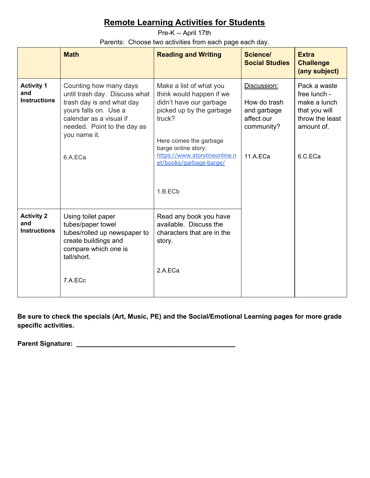<span id="page-5-0"></span>Pre-K -- April 17th Parents: Choose two activities from each page each day.

|                                                 | <b>Math</b>                                                                                                                                                                                        | <b>Reading and Writing</b>                                                                                                                                                                                                                   | <b>Science/</b><br><b>Social Studies</b>                                           | <b>Extra</b><br><b>Challenge</b><br>(any subject)                                                         |
|-------------------------------------------------|----------------------------------------------------------------------------------------------------------------------------------------------------------------------------------------------------|----------------------------------------------------------------------------------------------------------------------------------------------------------------------------------------------------------------------------------------------|------------------------------------------------------------------------------------|-----------------------------------------------------------------------------------------------------------|
| <b>Activity 1</b><br>and<br><b>Instructions</b> | Counting how many days<br>until trash day. Discuss what<br>trash day is and what day<br>yours falls on. Use a<br>calendar as a visual if<br>needed. Point to the day as<br>you name it.<br>6.A.ECa | Make a list of what you<br>think would happen if we<br>didn't have our garbage<br>picked up by the garbage<br>truck?<br>Here comes the garbage<br>barge online story:<br>https://www.storylineonline.n<br>et/books/garbage-barge/<br>1.B.ECb | Discussion:<br>How do trash<br>and garbage<br>affect our<br>community?<br>11.A.ECa | Pack a waste<br>free lunch -<br>make a lunch<br>that you will<br>throw the least<br>amount of.<br>6.C.ECa |
| <b>Activity 2</b><br>and<br><b>Instructions</b> | Using toilet paper<br>tubes/paper towel<br>tubes/rolled up newspaper to<br>create buildings and<br>compare which one is<br>tall/short.<br>7.A.ECc                                                  | Read any book you have<br>available. Discuss the<br>characters that are in the<br>story.<br>2.A.ECa                                                                                                                                          |                                                                                    |                                                                                                           |

**Be sure to check the specials (Art, Music, PE) and the Social/Emotional Learning pages for more grade specific activities.**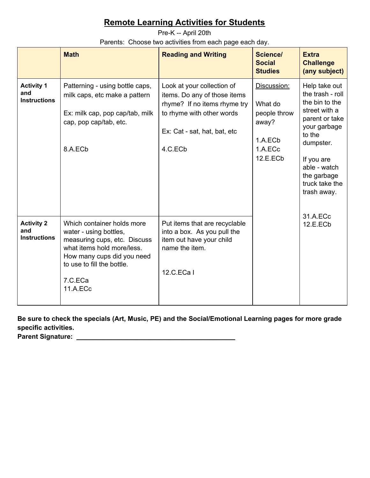<span id="page-6-0"></span>Pre-K -- April 20th Parents: Choose two activities from each page each day.

|                                                 | <b>Math</b>                                                                                                                                                                                           | <b>Reading and Writing</b>                                                                                                                                         | Science/<br><b>Social</b><br><b>Studies</b>                                       | <b>Extra</b><br><b>Challenge</b><br>(any subject)                                                                                                                                                           |
|-------------------------------------------------|-------------------------------------------------------------------------------------------------------------------------------------------------------------------------------------------------------|--------------------------------------------------------------------------------------------------------------------------------------------------------------------|-----------------------------------------------------------------------------------|-------------------------------------------------------------------------------------------------------------------------------------------------------------------------------------------------------------|
| <b>Activity 1</b><br>and<br><b>Instructions</b> | Patterning - using bottle caps,<br>milk caps, etc make a pattern<br>Ex: milk cap, pop cap/tab, milk<br>cap, pop cap/tab, etc.<br>8.A.ECb                                                              | Look at your collection of<br>items. Do any of those items<br>rhyme? If no items rhyme try<br>to rhyme with other words<br>Ex: Cat - sat, hat, bat, etc<br>4.C.ECb | Discussion:<br>What do<br>people throw<br>away?<br>1.A.ECb<br>1.A.ECc<br>12.E.ECb | Help take out<br>the trash - roll<br>the bin to the<br>street with a<br>parent or take<br>your garbage<br>to the<br>dumpster.<br>If you are<br>able - watch<br>the garbage<br>truck take the<br>trash away. |
| <b>Activity 2</b><br>and<br><b>Instructions</b> | Which container holds more<br>water - using bottles,<br>measuring cups, etc. Discuss<br>what items hold more/less.<br>How many cups did you need<br>to use to fill the bottle.<br>7.C.ECa<br>11.A.ECc | Put items that are recyclable<br>into a box. As you pull the<br>item out have your child<br>name the item.<br>12.C.ECa I                                           |                                                                                   | 31.A.ECc<br>12.E.ECb                                                                                                                                                                                        |

**Be sure to check the specials (Art, Music, PE) and the Social/Emotional Learning pages for more grade specific activities. Parent Signature:** \_\_\_\_\_\_\_\_\_\_\_\_\_\_\_\_\_\_\_\_\_\_\_\_\_\_\_\_\_\_\_\_\_\_\_\_\_\_\_\_\_\_\_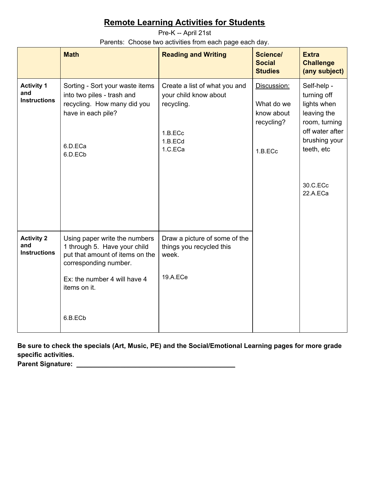<span id="page-7-0"></span>Pre-K -- April 21st

Parents: Choose two activities from each page each day.

|                                                 | <b>Math</b>                                                                                                                                                                          | <b>Reading and Writing</b>                                                                            | <b>Science/</b><br><b>Social</b><br><b>Studies</b>               | <b>Extra</b><br><b>Challenge</b><br>(any subject)                                                                                                   |
|-------------------------------------------------|--------------------------------------------------------------------------------------------------------------------------------------------------------------------------------------|-------------------------------------------------------------------------------------------------------|------------------------------------------------------------------|-----------------------------------------------------------------------------------------------------------------------------------------------------|
| <b>Activity 1</b><br>and<br><b>Instructions</b> | Sorting - Sort your waste items<br>into two piles - trash and<br>recycling. How many did you<br>have in each pile?<br>6.D.ECa<br>6.D.ECb                                             | Create a list of what you and<br>your child know about<br>recycling.<br>1.B.ECc<br>1.B.ECd<br>1.C.ECa | Discussion:<br>What do we<br>know about<br>recycling?<br>1.B.ECc | Self-help -<br>turning off<br>lights when<br>leaving the<br>room, turning<br>off water after<br>brushing your<br>teeth, etc<br>30.C.ECc<br>22.A.ECa |
| <b>Activity 2</b><br>and<br><b>Instructions</b> | Using paper write the numbers<br>1 through 5. Have your child<br>put that amount of items on the<br>corresponding number.<br>Ex: the number 4 will have 4<br>items on it.<br>6.B.ECb | Draw a picture of some of the<br>things you recycled this<br>week.<br>19.A.ECe                        |                                                                  |                                                                                                                                                     |

**Be sure to check the specials (Art, Music, PE) and the Social/Emotional Learning pages for more grade specific activities. Parent Signature:** \_\_\_\_\_\_\_\_\_\_\_\_\_\_\_\_\_\_\_\_\_\_\_\_\_\_\_\_\_\_\_\_\_\_\_\_\_\_\_\_\_\_\_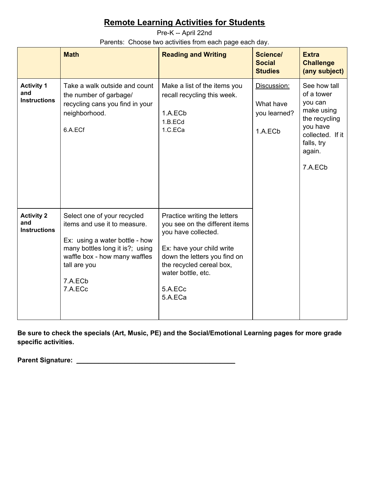<span id="page-8-0"></span>Pre-K -- April 22nd

Parents: Choose two activities from each page each day.

|                                                 | <b>Math</b>                                                                                                                                                                                             | <b>Reading and Writing</b>                                                                                                                                                                                                 | Science/<br><b>Social</b><br><b>Studies</b>         | <b>Extra</b><br><b>Challenge</b><br>(any subject)                                                                                       |
|-------------------------------------------------|---------------------------------------------------------------------------------------------------------------------------------------------------------------------------------------------------------|----------------------------------------------------------------------------------------------------------------------------------------------------------------------------------------------------------------------------|-----------------------------------------------------|-----------------------------------------------------------------------------------------------------------------------------------------|
| <b>Activity 1</b><br>and<br><b>Instructions</b> | Take a walk outside and count<br>the number of garbage/<br>recycling cans you find in your<br>neighborhood.<br>6.A.ECf                                                                                  | Make a list of the items you<br>recall recycling this week.<br>1.A.ECb<br>1.B.ECd<br>1.C.ECa                                                                                                                               | Discussion:<br>What have<br>you learned?<br>1.A.ECb | See how tall<br>of a tower<br>you can<br>make using<br>the recycling<br>you have<br>collected. If it<br>falls, try<br>again.<br>7.A.ECb |
| <b>Activity 2</b><br>and<br><b>Instructions</b> | Select one of your recycled<br>items and use it to measure.<br>Ex: using a water bottle - how<br>many bottles long it is?; using<br>waffle box - how many waffles<br>tall are you<br>7.A.ECb<br>7.A.ECc | Practice writing the letters<br>you see on the different items<br>you have collected.<br>Ex: have your child write<br>down the letters you find on<br>the recycled cereal box,<br>water bottle, etc.<br>5.A.ECc<br>5.A.ECa |                                                     |                                                                                                                                         |

**Be sure to check the specials (Art, Music, PE) and the Social/Emotional Learning pages for more grade specific activities.**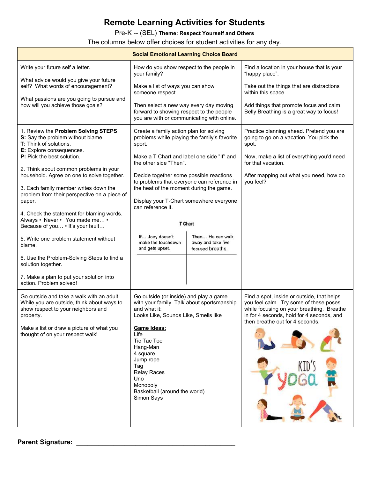<span id="page-9-0"></span>Pre-K -- (SEL) **Theme: Respect Yourself and Others**

The columns below offer choices for student activities for any day.

| <b>Social Emotional Learning Choice Board</b>                                                                                                                                                                               |                                                                                                                                                                                                                                                                                                                               |                                                            |                                                                                                                                                                                                                   |  |
|-----------------------------------------------------------------------------------------------------------------------------------------------------------------------------------------------------------------------------|-------------------------------------------------------------------------------------------------------------------------------------------------------------------------------------------------------------------------------------------------------------------------------------------------------------------------------|------------------------------------------------------------|-------------------------------------------------------------------------------------------------------------------------------------------------------------------------------------------------------------------|--|
| Write your future self a letter.                                                                                                                                                                                            | How do you show respect to the people in<br>your family?                                                                                                                                                                                                                                                                      |                                                            | Find a location in your house that is your<br>"happy place".                                                                                                                                                      |  |
| What advice would you give your future<br>self? What words of encouragement?                                                                                                                                                | Make a list of ways you can show<br>someone respect.                                                                                                                                                                                                                                                                          |                                                            | Take out the things that are distractions<br>within this space.                                                                                                                                                   |  |
| What passions are you going to pursue and<br>how will you achieve those goals?                                                                                                                                              | Then select a new way every day moving<br>forward to showing respect to the people<br>you are with or communicating with online.                                                                                                                                                                                              |                                                            | Add things that promote focus and calm.<br>Belly Breathing is a great way to focus!                                                                                                                               |  |
| 1. Review the Problem Solving STEPS<br>S: Say the problem without blame.<br><b>T:</b> Think of solutions.<br>E: Explore consequences.<br><b>P:</b> Pick the best solution.                                                  | Create a family action plan for solving<br>problems while playing the family's favorite<br>sport.<br>Make a T Chart and label one side "If" and                                                                                                                                                                               |                                                            | Practice planning ahead. Pretend you are<br>going to go on a vacation. You pick the<br>spot.<br>Now, make a list of everything you'd need<br>for that vacation.                                                   |  |
| 2. Think about common problems in your<br>household. Agree on one to solve together.<br>3. Each family member writes down the                                                                                               | the other side "Then".<br>Decide together some possible reactions<br>to problems that everyone can reference in                                                                                                                                                                                                               |                                                            | After mapping out what you need, how do<br>you feel?                                                                                                                                                              |  |
| problem from their perspective on a piece of<br>paper.                                                                                                                                                                      | the heat of the moment during the game.<br>Display your T-Chart somewhere everyone<br>can reference it.                                                                                                                                                                                                                       |                                                            |                                                                                                                                                                                                                   |  |
| 4. Check the statement for blaming words.<br>Always • Never • You made me •<br>Because of you • It's your fault                                                                                                             | T Chart                                                                                                                                                                                                                                                                                                                       |                                                            |                                                                                                                                                                                                                   |  |
| 5. Write one problem statement without<br>blame.                                                                                                                                                                            | If Joey doesn't<br>make the touchdown<br>and gets upset.                                                                                                                                                                                                                                                                      | Then He can walk<br>away and take five<br>focused breaths. |                                                                                                                                                                                                                   |  |
| 6. Use the Problem-Solving Steps to find a<br>solution together.                                                                                                                                                            |                                                                                                                                                                                                                                                                                                                               |                                                            |                                                                                                                                                                                                                   |  |
| 7. Make a plan to put your solution into<br>action. Problem solved!                                                                                                                                                         |                                                                                                                                                                                                                                                                                                                               |                                                            |                                                                                                                                                                                                                   |  |
| Go outside and take a walk with an adult.<br>While you are outside, think about ways to<br>show respect to your neighbors and<br>property.<br>Make a list or draw a picture of what you<br>thought of on your respect walk! | Go outside (or inside) and play a game<br>with your family. Talk about sportsmanship<br>and what it:<br>Looks Like, Sounds Like, Smells like<br>Game Ideas:<br>Life<br>Tic Tac Toe<br>Hang-Man<br>4 square<br>Jump rope<br>Tag<br><b>Relay Races</b><br><b>Uno</b><br>Monopoly<br>Basketball (around the world)<br>Simon Says |                                                            | Find a spot, inside or outside, that helps<br>you feel calm. Try some of these poses<br>while focusing on your breathing. Breathe<br>in for 4 seconds, hold for 4 seconds, and<br>then breathe out for 4 seconds. |  |